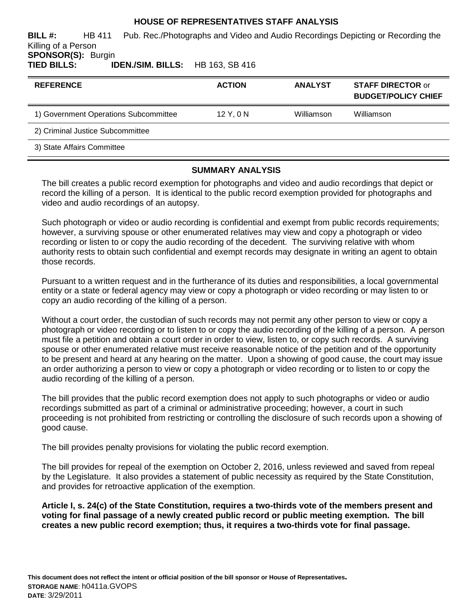# **HOUSE OF REPRESENTATIVES STAFF ANALYSIS**

**BILL #:** HB 411 Pub. Rec./Photographs and Video and Audio Recordings Depicting or Recording the Killing of a Person

**SPONSOR(S): Burgin<br>TIED BILLS: II TIED BILLS: IDEN./SIM. BILLS:** HB 163, SB 416

| <b>REFERENCE</b>                      | <b>ACTION</b> | <b>ANALYST</b> | <b>STAFF DIRECTOR or</b><br><b>BUDGET/POLICY CHIEF</b> |
|---------------------------------------|---------------|----------------|--------------------------------------------------------|
| 1) Government Operations Subcommittee | 12 Y, 0 N     | Williamson     | Williamson                                             |
| 2) Criminal Justice Subcommittee      |               |                |                                                        |
| 3) State Affairs Committee            |               |                |                                                        |

# **SUMMARY ANALYSIS**

The bill creates a public record exemption for photographs and video and audio recordings that depict or record the killing of a person. It is identical to the public record exemption provided for photographs and video and audio recordings of an autopsy.

Such photograph or video or audio recording is confidential and exempt from public records requirements; however, a surviving spouse or other enumerated relatives may view and copy a photograph or video recording or listen to or copy the audio recording of the decedent. The surviving relative with whom authority rests to obtain such confidential and exempt records may designate in writing an agent to obtain those records.

Pursuant to a written request and in the furtherance of its duties and responsibilities, a local governmental entity or a state or federal agency may view or copy a photograph or video recording or may listen to or copy an audio recording of the killing of a person.

Without a court order, the custodian of such records may not permit any other person to view or copy a photograph or video recording or to listen to or copy the audio recording of the killing of a person. A person must file a petition and obtain a court order in order to view, listen to, or copy such records. A surviving spouse or other enumerated relative must receive reasonable notice of the petition and of the opportunity to be present and heard at any hearing on the matter. Upon a showing of good cause, the court may issue an order authorizing a person to view or copy a photograph or video recording or to listen to or copy the audio recording of the killing of a person.

The bill provides that the public record exemption does not apply to such photographs or video or audio recordings submitted as part of a criminal or administrative proceeding; however, a court in such proceeding is not prohibited from restricting or controlling the disclosure of such records upon a showing of good cause.

The bill provides penalty provisions for violating the public record exemption.

The bill provides for repeal of the exemption on October 2, 2016, unless reviewed and saved from repeal by the Legislature. It also provides a statement of public necessity as required by the State Constitution, and provides for retroactive application of the exemption.

**Article I, s. 24(c) of the State Constitution, requires a two-thirds vote of the members present and voting for final passage of a newly created public record or public meeting exemption. The bill creates a new public record exemption; thus, it requires a two-thirds vote for final passage.**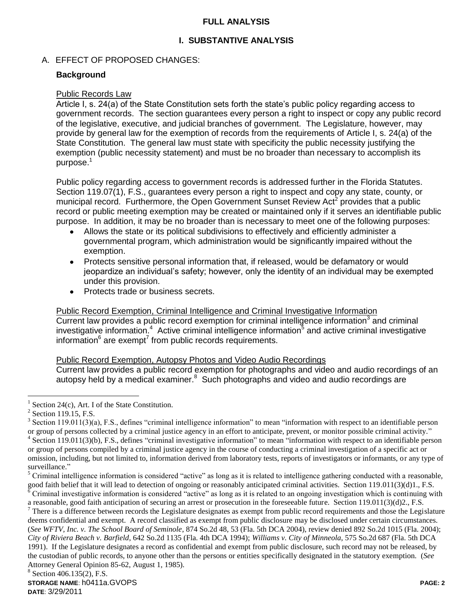# **FULL ANALYSIS**

# **I. SUBSTANTIVE ANALYSIS**

# A. EFFECT OF PROPOSED CHANGES:

### **Background**

#### Public Records Law

Article I, s. 24(a) of the State Constitution sets forth the state's public policy regarding access to government records. The section guarantees every person a right to inspect or copy any public record of the legislative, executive, and judicial branches of government. The Legislature, however, may provide by general law for the exemption of records from the requirements of Article I, s. 24(a) of the State Constitution. The general law must state with specificity the public necessity justifying the exemption (public necessity statement) and must be no broader than necessary to accomplish its purpose.<sup>1</sup>

Public policy regarding access to government records is addressed further in the Florida Statutes. Section 119.07(1), F.S., guarantees every person a right to inspect and copy any state, county, or municipal record. Furthermore, the Open Government Sunset Review Act<sup>2</sup> provides that a public record or public meeting exemption may be created or maintained only if it serves an identifiable public purpose. In addition, it may be no broader than is necessary to meet one of the following purposes:

- Allows the state or its political subdivisions to effectively and efficiently administer a governmental program, which administration would be significantly impaired without the exemption.
- Protects sensitive personal information that, if released, would be defamatory or would  $\bullet$ jeopardize an individual's safety; however, only the identity of an individual may be exempted under this provision.
- Protects trade or business secrets.

Public Record Exemption, Criminal Intelligence and Criminal Investigative Information Current law provides a public record exemption for criminal intelligence information $3$  and criminal investigative information.<sup>4</sup> Active criminal intelligence information<sup>5</sup> and active criminal investigative information $^6$  are exempt<sup>7</sup> from public records requirements.

#### Public Record Exemption, Autopsy Photos and Video Audio Recordings

Current law provides a public record exemption for photographs and video and audio recordings of an autopsy held by a medical examiner. $8$  Such photographs and video and audio recordings are

 $\overline{a}$ 

a reasonable, good faith anticipation of securing an arrest or prosecution in the foreseeable future. Section 119.011(3)(d)2., F.S.

 $<sup>7</sup>$  There is a difference between records the Legislature designates as exempt from public record requirements and those the Legislature</sup> deems confidential and exempt. A record classified as exempt from public disclosure may be disclosed under certain circumstances. (*See WFTV, Inc. v. The School Board of Seminole*, 874 So.2d 48, 53 (Fla. 5th DCA 2004), review denied 892 So.2d 1015 (Fla. 2004); *City of Riviera Beach v. Barfield*, 642 So.2d 1135 (Fla. 4th DCA 1994); *Williams v. City of Minneola*, 575 So.2d 687 (Fla. 5th DCA 1991). If the Legislature designates a record as confidential and exempt from public disclosure, such record may not be released, by the custodian of public records, to anyone other than the persons or entities specifically designated in the statutory exemption. (*See* Attorney General Opinion 85-62, August 1, 1985).

<sup>&</sup>lt;sup>1</sup> Section 24(c), Art. I of the State Constitution.

 $<sup>2</sup>$  Section 119.15, F.S.</sup>

 $3$  Section 119.011(3)(a), F.S., defines "criminal intelligence information" to mean "information with respect to an identifiable person or group of persons collected by a criminal justice agency in an effort to anticipate, prevent, or monitor possible criminal activity." <sup>4</sup> Section 119.011(3)(b), F.S., defines "criminal investigative information" to mean "information with respect to an identifiable person or group of persons compiled by a criminal justice agency in the course of conducting a criminal investigation of a specific act or omission, including, but not limited to, information derived from laboratory tests, reports of investigators or informants, or any type of surveillance."

 $<sup>5</sup>$  Criminal intelligence information is considered "active" as long as it is related to intelligence gathering conducted with a reasonable,</sup> good faith belief that it will lead to detection of ongoing or reasonably anticipated criminal activities. Section 119.011(3)(d)1., F.S.  $\frac{1}{6}$  Criminal investigative information is considered "active" as long as it is related to an ongoing investigation which is continuing with

<sup>&</sup>lt;sup>8</sup> Section 406.135(2), F.S.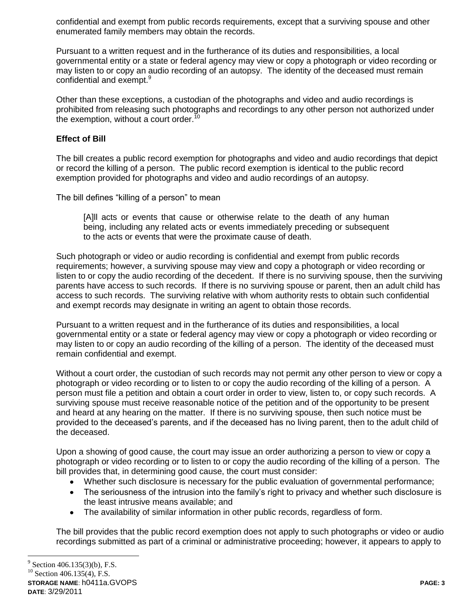confidential and exempt from public records requirements, except that a surviving spouse and other enumerated family members may obtain the records.

Pursuant to a written request and in the furtherance of its duties and responsibilities, a local governmental entity or a state or federal agency may view or copy a photograph or video recording or may listen to or copy an audio recording of an autopsy. The identity of the deceased must remain confidential and exempt.<sup>9</sup>

Other than these exceptions, a custodian of the photographs and video and audio recordings is prohibited from releasing such photographs and recordings to any other person not authorized under the exemption, without a court order.<sup>10</sup>

### **Effect of Bill**

The bill creates a public record exemption for photographs and video and audio recordings that depict or record the killing of a person. The public record exemption is identical to the public record exemption provided for photographs and video and audio recordings of an autopsy.

The bill defines "killing of a person" to mean

[A]ll acts or events that cause or otherwise relate to the death of any human being, including any related acts or events immediately preceding or subsequent to the acts or events that were the proximate cause of death.

Such photograph or video or audio recording is confidential and exempt from public records requirements; however, a surviving spouse may view and copy a photograph or video recording or listen to or copy the audio recording of the decedent. If there is no surviving spouse, then the surviving parents have access to such records. If there is no surviving spouse or parent, then an adult child has access to such records. The surviving relative with whom authority rests to obtain such confidential and exempt records may designate in writing an agent to obtain those records.

Pursuant to a written request and in the furtherance of its duties and responsibilities, a local governmental entity or a state or federal agency may view or copy a photograph or video recording or may listen to or copy an audio recording of the killing of a person. The identity of the deceased must remain confidential and exempt.

Without a court order, the custodian of such records may not permit any other person to view or copy a photograph or video recording or to listen to or copy the audio recording of the killing of a person. A person must file a petition and obtain a court order in order to view, listen to, or copy such records. A surviving spouse must receive reasonable notice of the petition and of the opportunity to be present and heard at any hearing on the matter. If there is no surviving spouse, then such notice must be provided to the deceased's parents, and if the deceased has no living parent, then to the adult child of the deceased.

Upon a showing of good cause, the court may issue an order authorizing a person to view or copy a photograph or video recording or to listen to or copy the audio recording of the killing of a person. The bill provides that, in determining good cause, the court must consider:

- Whether such disclosure is necessary for the public evaluation of governmental performance;
- The seriousness of the intrusion into the family's right to privacy and whether such disclosure is the least intrusive means available; and
- The availability of similar information in other public records, regardless of form.

The bill provides that the public record exemption does not apply to such photographs or video or audio recordings submitted as part of a criminal or administrative proceeding; however, it appears to apply to

 $\overline{a}$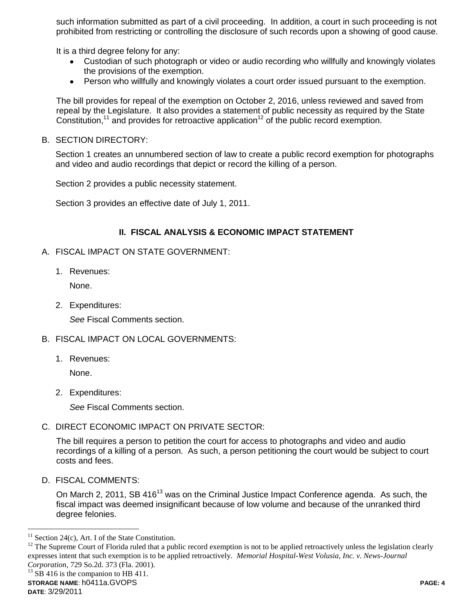such information submitted as part of a civil proceeding. In addition, a court in such proceeding is not prohibited from restricting or controlling the disclosure of such records upon a showing of good cause.

It is a third degree felony for any:

- Custodian of such photograph or video or audio recording who willfully and knowingly violates the provisions of the exemption.
- $\bullet$ Person who willfully and knowingly violates a court order issued pursuant to the exemption.

The bill provides for repeal of the exemption on October 2, 2016, unless reviewed and saved from repeal by the Legislature. It also provides a statement of public necessity as required by the State Constitution,<sup>11</sup> and provides for retroactive application<sup>12</sup> of the public record exemption.

B. SECTION DIRECTORY:

Section 1 creates an unnumbered section of law to create a public record exemption for photographs and video and audio recordings that depict or record the killing of a person.

Section 2 provides a public necessity statement.

Section 3 provides an effective date of July 1, 2011.

#### **II. FISCAL ANALYSIS & ECONOMIC IMPACT STATEMENT**

- A. FISCAL IMPACT ON STATE GOVERNMENT:
	- 1. Revenues:

None.

2. Expenditures:

*See* Fiscal Comments section.

- B. FISCAL IMPACT ON LOCAL GOVERNMENTS:
	- 1. Revenues:

None.

2. Expenditures:

*See* Fiscal Comments section.

C. DIRECT ECONOMIC IMPACT ON PRIVATE SECTOR:

The bill requires a person to petition the court for access to photographs and video and audio recordings of a killing of a person. As such, a person petitioning the court would be subject to court costs and fees.

D. FISCAL COMMENTS:

On March 2, 2011, SB 416<sup>13</sup> was on the Criminal Justice Impact Conference agenda. As such, the fiscal impact was deemed insignificant because of low volume and because of the unranked third degree felonies.

 $\overline{a}$ 

 $11$  Section 24(c), Art. I of the State Constitution.

 $12$  The Supreme Court of Florida ruled that a public record exemption is not to be applied retroactively unless the legislation clearly expresses intent that such exemption is to be applied retroactively. *Memorial Hospital-West Volusia, Inc. v. News-Journal Corporation*, 729 So.2d. 373 (Fla. 2001).